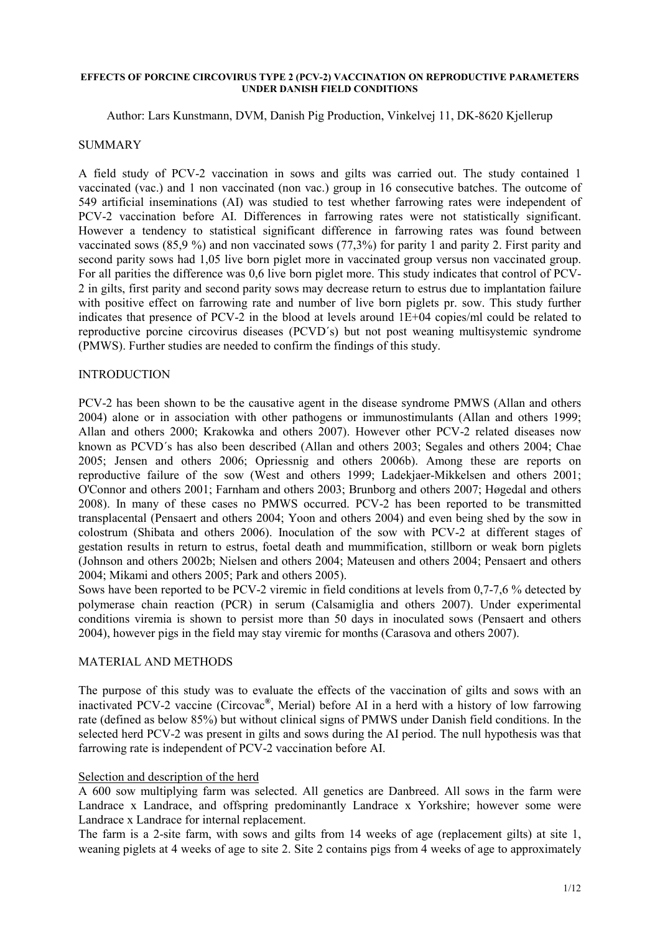#### **EFFECTS OF PORCINE CIRCOVIRUS TYPE 2 (PCV-2) VACCINATION ON REPRODUCTIVE PARAMETERS UNDER DANISH FIELD CONDITIONS**

Author: Lars Kunstmann, DVM, Danish Pig Production, Vinkelvej 11, DK-8620 Kjellerup

### SUMMARY

A field study of PCV-2 vaccination in sows and gilts was carried out. The study contained 1 vaccinated (vac.) and 1 non vaccinated (non vac.) group in 16 consecutive batches. The outcome of 549 artificial inseminations (AI) was studied to test whether farrowing rates were independent of PCV-2 vaccination before AI. Differences in farrowing rates were not statistically significant. However a tendency to statistical significant difference in farrowing rates was found between vaccinated sows (85,9 %) and non vaccinated sows (77,3%) for parity 1 and parity 2. First parity and second parity sows had 1,05 live born piglet more in vaccinated group versus non vaccinated group. For all parities the difference was 0,6 live born piglet more. This study indicates that control of PCV-2 in gilts, first parity and second parity sows may decrease return to estrus due to implantation failure with positive effect on farrowing rate and number of live born piglets pr. sow. This study further indicates that presence of PCV-2 in the blood at levels around  $1E+04$  copies/ml could be related to reproductive porcine circovirus diseases (PCVD´s) but not post weaning multisystemic syndrome (PMWS). Further studies are needed to confirm the findings of this study.

### INTRODUCTION

PCV-2 has been shown to be the causative agent in the disease syndrome PMWS (Allan and others 2004) alone or in association with other pathogens or immunostimulants (Allan and others 1999; Allan and others 2000; Krakowka and others 2007). However other PCV-2 related diseases now known as PCVD´s has also been described (Allan and others 2003; Segales and others 2004; Chae 2005; Jensen and others 2006; Opriessnig and others 2006b). Among these are reports on reproductive failure of the sow (West and others 1999; Ladekjaer-Mikkelsen and others 2001; O'Connor and others 2001; Farnham and others 2003; Brunborg and others 2007; Høgedal and others 2008). In many of these cases no PMWS occurred. PCV-2 has been reported to be transmitted transplacental (Pensaert and others 2004; Yoon and others 2004) and even being shed by the sow in colostrum (Shibata and others 2006). Inoculation of the sow with PCV-2 at different stages of gestation results in return to estrus, foetal death and mummification, stillborn or weak born piglets (Johnson and others 2002b; Nielsen and others 2004; Mateusen and others 2004; Pensaert and others 2004; Mikami and others 2005; Park and others 2005).

Sows have been reported to be PCV-2 viremic in field conditions at levels from 0,7-7,6 % detected by polymerase chain reaction (PCR) in serum (Calsamiglia and others 2007). Under experimental conditions viremia is shown to persist more than 50 days in inoculated sows (Pensaert and others 2004), however pigs in the field may stay viremic for months (Carasova and others 2007).

### MATERIAL AND METHODS

The purpose of this study was to evaluate the effects of the vaccination of gilts and sows with an inactivated PCV-2 vaccine (Circovac**®** , Merial) before AI in a herd with a history of low farrowing rate (defined as below 85%) but without clinical signs of PMWS under Danish field conditions. In the selected herd PCV-2 was present in gilts and sows during the AI period. The null hypothesis was that farrowing rate is independent of PCV-2 vaccination before AI.

### Selection and description of the herd

A 600 sow multiplying farm was selected. All genetics are Danbreed. All sows in the farm were Landrace x Landrace, and offspring predominantly Landrace x Yorkshire; however some were Landrace x Landrace for internal replacement.

The farm is a 2-site farm, with sows and gilts from 14 weeks of age (replacement gilts) at site 1, weaning piglets at 4 weeks of age to site 2. Site 2 contains pigs from 4 weeks of age to approximately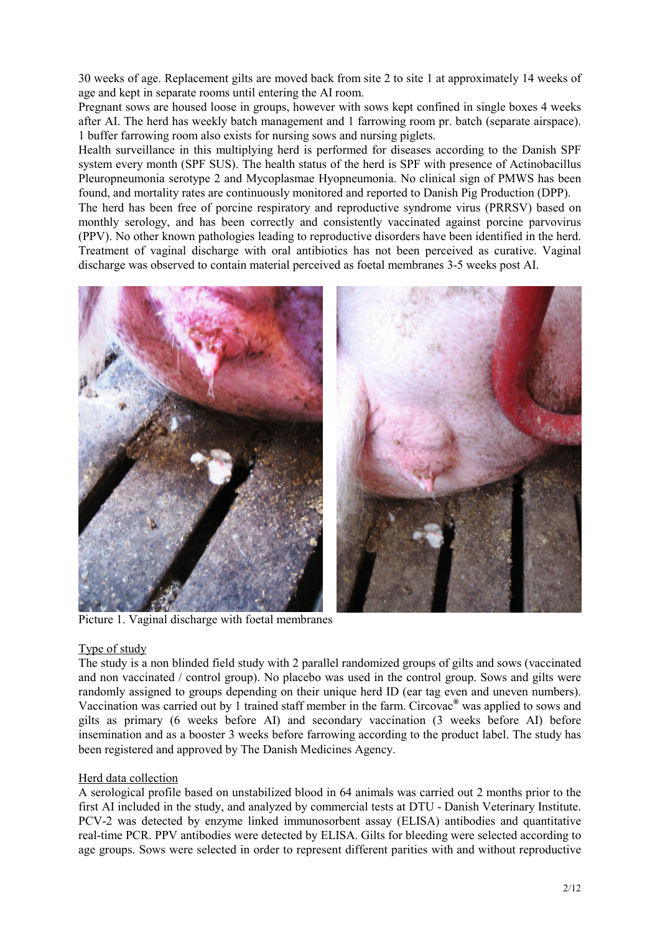30 weeks of age. Replacement gilts are moved back from site 2 to site 1 at approximately 14 weeks of age and kept in separate rooms until entering the AI room.

Pregnant sows are housed loose in groups, however with sows kept confined in single boxes 4 weeks after AI. The herd has weekly batch management and 1 farrowing room pr. batch (separate airspace). 1 buffer farrowing room also exists for nursing sows and nursing piglets.

Health surveillance in this multiplying herd is performed for diseases according to the Danish SPF system every month (SPF SUS). The health status of the herd is SPF with presence of Actinobacillus Pleuropneumonia serotype 2 and Mycoplasmae Hyopneumonia. No clinical sign of PMWS has been found, and mortality rates are continuously monitored and reported to Danish Pig Production (DPP).

The herd has been free of porcine respiratory and reproductive syndrome virus (PRRSV) based on monthly serology, and has been correctly and consistently vaccinated against porcine parvovirus (PPV). No other known pathologies leading to reproductive disorders have been identified in the herd. Treatment of vaginal discharge with oral antibiotics has not been perceived as curative. Vaginal discharge was observed to contain material perceived as foetal membranes 3-5 weeks post AI.



Picture 1. Vaginal discharge with foetal membranes

### Type of study

The study is a non blinded field study with 2 parallel randomized groups of gilts and sows (vaccinated and non vaccinated / control group). No placebo was used in the control group. Sows and gilts were randomly assigned to groups depending on their unique herd ID (ear tag even and uneven numbers). Vaccination was carried out by 1 trained staff member in the farm. Circovac**®** was applied to sows and gilts as primary (6 weeks before AI) and secondary vaccination (3 weeks before AI) before insemination and as a booster 3 weeks before farrowing according to the product label. The study has been registered and approved by The Danish Medicines Agency.

# Herd data collection

A serological profile based on unstabilized blood in 64 animals was carried out 2 months prior to the first AI included in the study, and analyzed by commercial tests at DTU - Danish Veterinary Institute. PCV-2 was detected by enzyme linked immunosorbent assay (ELISA) antibodies and quantitative real-time PCR. PPV antibodies were detected by ELISA. Gilts for bleeding were selected according to age groups. Sows were selected in order to represent different parities with and without reproductive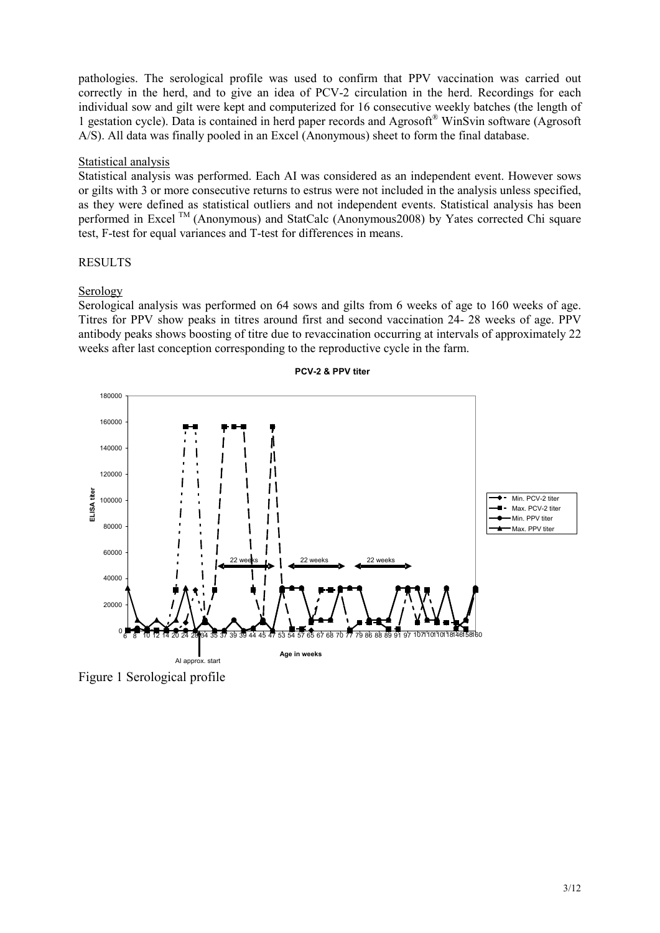pathologies. The serological profile was used to confirm that PPV vaccination was carried out correctly in the herd, and to give an idea of PCV-2 circulation in the herd. Recordings for each individual sow and gilt were kept and computerized for 16 consecutive weekly batches (the length of 1 gestation cycle). Data is contained in herd paper records and Agrosoft® WinSvin software (Agrosoft A/S). All data was finally pooled in an Excel (Anonymous) sheet to form the final database.

## Statistical analysis

Statistical analysis was performed. Each AI was considered as an independent event. However sows or gilts with 3 or more consecutive returns to estrus were not included in the analysis unless specified, as they were defined as statistical outliers and not independent events. Statistical analysis has been performed in Excel <sup>TM</sup> (Anonymous) and StatCalc (Anonymous2008) by Yates corrected Chi square test, F-test for equal variances and T-test for differences in means.

## **RESULTS**

## Serology

Serological analysis was performed on 64 sows and gilts from 6 weeks of age to 160 weeks of age. Titres for PPV show peaks in titres around first and second vaccination 24- 28 weeks of age. PPV antibody peaks shows boosting of titre due to revaccination occurring at intervals of approximately 22 weeks after last conception corresponding to the reproductive cycle in the farm.



### **PCV-2 & PPV titer**

Figure 1 Serological profile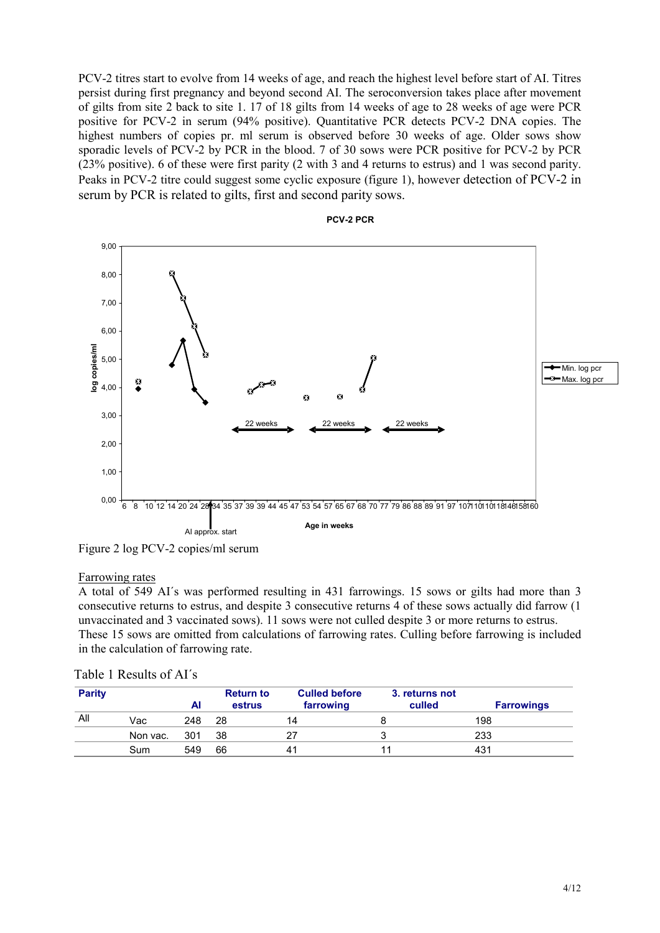PCV-2 titres start to evolve from 14 weeks of age, and reach the highest level before start of AI. Titres persist during first pregnancy and beyond second AI. The seroconversion takes place after movement of gilts from site 2 back to site 1. 17 of 18 gilts from 14 weeks of age to 28 weeks of age were PCR positive for PCV-2 in serum (94% positive). Quantitative PCR detects PCV-2 DNA copies. The highest numbers of copies pr. ml serum is observed before 30 weeks of age. Older sows show sporadic levels of PCV-2 by PCR in the blood. 7 of 30 sows were PCR positive for PCV-2 by PCR (23% positive). 6 of these were first parity (2 with 3 and 4 returns to estrus) and 1 was second parity. Peaks in PCV-2 titre could suggest some cyclic exposure (figure 1), however detection of PCV-2 in serum by PCR is related to gilts, first and second parity sows.



Figure 2 log PCV-2 copies/ml serum

### Farrowing rates

A total of 549 AI´s was performed resulting in 431 farrowings. 15 sows or gilts had more than 3 consecutive returns to estrus, and despite 3 consecutive returns 4 of these sows actually did farrow (1 unvaccinated and 3 vaccinated sows). 11 sows were not culled despite 3 or more returns to estrus. These 15 sows are omitted from calculations of farrowing rates. Culling before farrowing is included in the calculation of farrowing rate.

| <b>Parity</b> |          | ΑI  | <b>Return to</b><br>estrus | <b>Culled before</b><br>farrowing | 3. returns not<br>culled | <b>Farrowings</b> |
|---------------|----------|-----|----------------------------|-----------------------------------|--------------------------|-------------------|
| All           | Vac      | 248 | 28                         | 14                                |                          | 198               |
|               | Non vac. | 301 | 38                         | 27                                |                          | 233               |
|               | Sum      | 549 | 66                         | 4 <sup>1</sup>                    |                          | 431               |

| Table 1 Results of AI's |  |
|-------------------------|--|
|-------------------------|--|

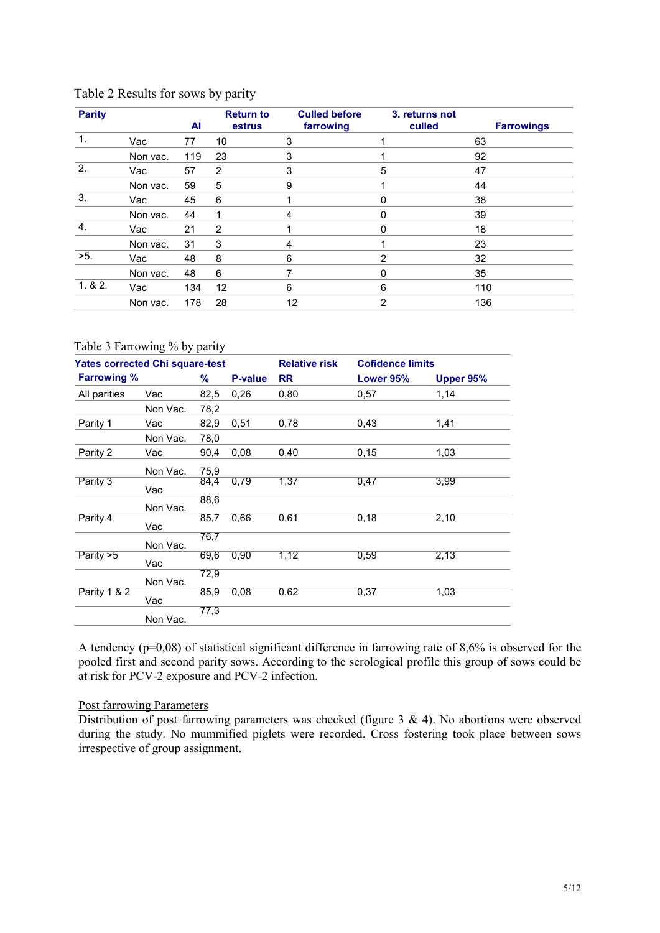| <b>Parity</b>    |          | AI  | <b>Return to</b><br>estrus | <b>Culled before</b><br>farrowing | 3. returns not<br>culled | <b>Farrowings</b> |
|------------------|----------|-----|----------------------------|-----------------------------------|--------------------------|-------------------|
| 1.               | Vac      | 77  | 10                         | 3                                 |                          | 63                |
|                  | Non vac. | 119 | 23                         | 3                                 |                          | 92                |
| $\overline{2}$ . | Vac      | 57  | 2                          | 3                                 | 5                        | 47                |
|                  | Non vac. | 59  | 5                          | 9                                 |                          | 44                |
| 3.               | Vac      | 45  | 6                          |                                   | $\Omega$                 | 38                |
|                  | Non vac. | 44  |                            | 4                                 | O                        | 39                |
| 4.               | Vac      | 21  | 2                          |                                   | 0                        | 18                |
|                  | Non vac. | 31  | 3                          | 4                                 |                          | 23                |
| $>5$ .           | Vac      | 48  | 8                          | 6                                 | 2                        | 32                |
|                  | Non vac. | 48  | 6                          |                                   | 0                        | 35                |
| 1.82.            | Vac      | 134 | 12                         | 6                                 | 6                        | 110               |
|                  | Non vac. | 178 | 28                         | 12                                | 2                        | 136               |

## Table 2 Results for sows by parity

### Table 3 Farrowing % by parity

|                    | <b>Yates corrected Chi square-test</b> |      |         |           | <b>Cofidence limits</b> |           |  |
|--------------------|----------------------------------------|------|---------|-----------|-------------------------|-----------|--|
| <b>Farrowing %</b> |                                        | %    | P-value | <b>RR</b> | Lower 95%               | Upper 95% |  |
| All parities       | Vac                                    | 82,5 | 0,26    | 0,80      | 0,57                    | 1,14      |  |
|                    | Non Vac.                               | 78,2 |         |           |                         |           |  |
| Parity 1           | Vac                                    | 82,9 | 0,51    | 0,78      | 0.43                    | 1,41      |  |
|                    | Non Vac.                               | 78,0 |         |           |                         |           |  |
| Parity 2           | Vac                                    | 90,4 | 0.08    | 0,40      | 0,15                    | 1,03      |  |
|                    | Non Vac.                               | 75,9 |         |           |                         |           |  |
| Parity 3           | Vac                                    | 84,4 | 0.79    | 1,37      | 0,47                    | 3,99      |  |
|                    | Non Vac.                               | 88,6 |         |           |                         |           |  |
| Parity 4           | Vac                                    | 85,7 | 0,66    | 0,61      | 0,18                    | 2,10      |  |
|                    | Non Vac.                               | 76,7 |         |           |                         |           |  |
| Parity $>5$        | Vac                                    | 69,6 | 0.90    | 1,12      | 0.59                    | 2,13      |  |
|                    | Non Vac.                               | 72,9 |         |           |                         |           |  |
| Parity 1 & 2       | Vac                                    | 85,9 | 0,08    | 0,62      | 0,37                    | 1,03      |  |
|                    | Non Vac.                               | 77,3 |         |           |                         |           |  |

A tendency (p=0,08) of statistical significant difference in farrowing rate of 8,6% is observed for the pooled first and second parity sows. According to the serological profile this group of sows could be at risk for PCV-2 exposure and PCV-2 infection.

### Post farrowing Parameters

Distribution of post farrowing parameters was checked (figure 3 & 4). No abortions were observed during the study. No mummified piglets were recorded. Cross fostering took place between sows irrespective of group assignment.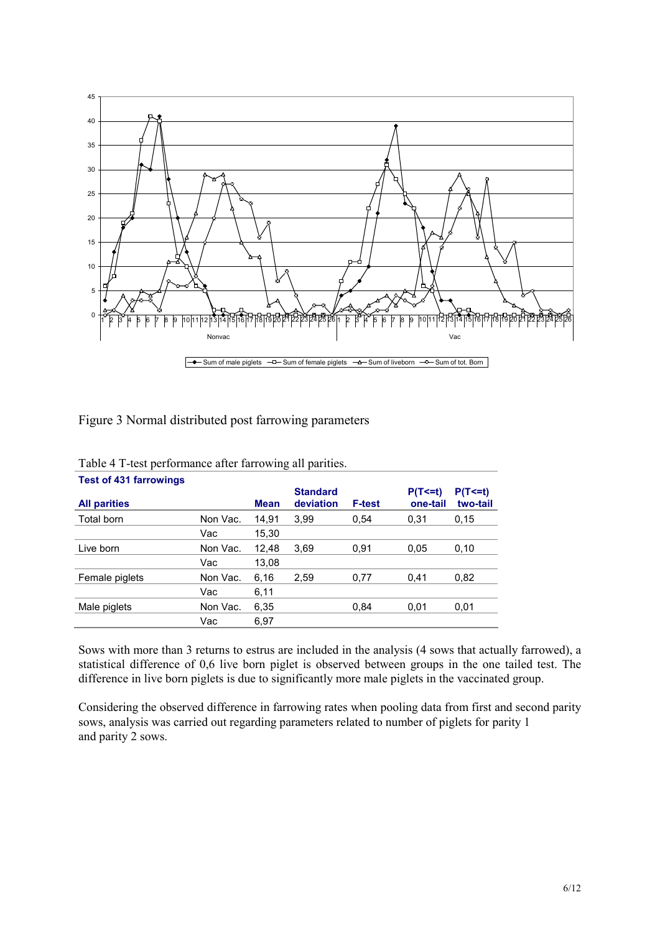

Figure 3 Normal distributed post farrowing parameters

| <b>Test of 431 farrowings</b> |          |             |                              |               |                          |                          |
|-------------------------------|----------|-------------|------------------------------|---------------|--------------------------|--------------------------|
| <b>All parities</b>           |          | <b>Mean</b> | <b>Standard</b><br>deviation | <b>F-test</b> | $P(T \le t)$<br>one-tail | $P(T \le t)$<br>two-tail |
|                               |          |             |                              |               |                          |                          |
| Total born                    | Non Vac. | 14.91       | 3.99                         | 0.54          | 0.31                     | 0.15                     |
|                               | Vac      | 15,30       |                              |               |                          |                          |
| Live born                     | Non Vac. | 12,48       | 3.69                         | 0.91          | 0.05                     | 0,10                     |
|                               | Vac      | 13,08       |                              |               |                          |                          |
| Female piglets                | Non Vac. | 6,16        | 2,59                         | 0,77          | 0,41                     | 0.82                     |
|                               | Vac      | 6,11        |                              |               |                          |                          |
| Male piglets                  | Non Vac. | 6,35        |                              | 0.84          | 0.01                     | 0,01                     |
|                               | Vac      | 6.97        |                              |               |                          |                          |

| Table 4 T-test performance after farrowing all parities. |  |  |  |
|----------------------------------------------------------|--|--|--|
|                                                          |  |  |  |

Sows with more than 3 returns to estrus are included in the analysis (4 sows that actually farrowed), a statistical difference of 0,6 live born piglet is observed between groups in the one tailed test. The difference in live born piglets is due to significantly more male piglets in the vaccinated group.

Considering the observed difference in farrowing rates when pooling data from first and second parity sows, analysis was carried out regarding parameters related to number of piglets for parity 1 and parity 2 sows.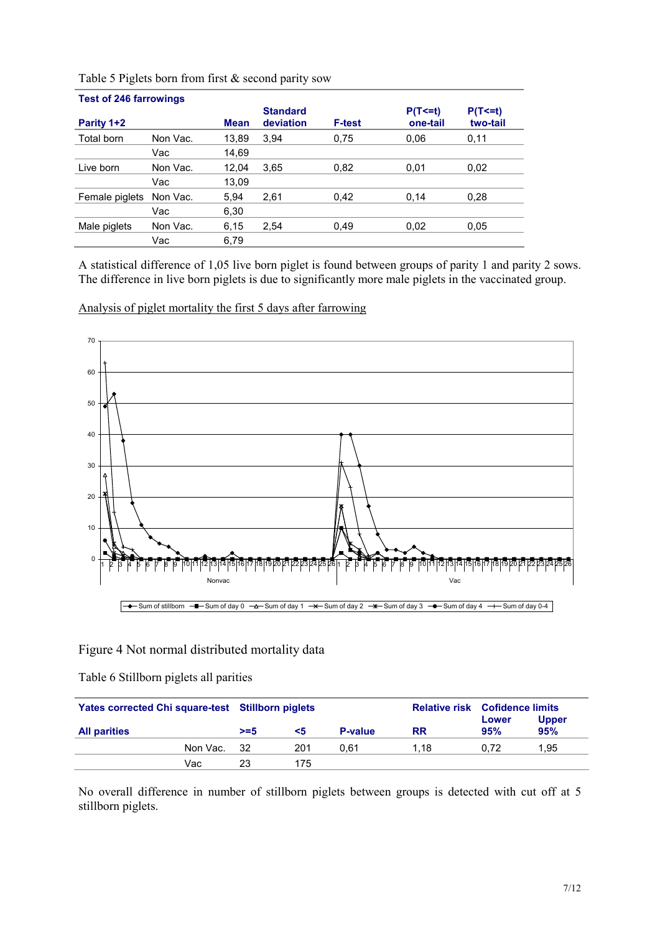|                | <b>Test of 246 farrowings</b> |             |                 |               |              |                |  |  |  |  |  |
|----------------|-------------------------------|-------------|-----------------|---------------|--------------|----------------|--|--|--|--|--|
|                |                               |             | <b>Standard</b> |               | $P(T \le t)$ | $P(T \le = t)$ |  |  |  |  |  |
| Parity 1+2     |                               | <b>Mean</b> | deviation       | <b>F-test</b> | one-tail     | two-tail       |  |  |  |  |  |
| Total born     | Non Vac.                      | 13,89       | 3.94            | 0,75          | 0.06         | 0,11           |  |  |  |  |  |
|                | Vac                           | 14.69       |                 |               |              |                |  |  |  |  |  |
| Live born      | Non Vac.                      | 12.04       | 3.65            | 0.82          | 0.01         | 0.02           |  |  |  |  |  |
|                | Vac                           | 13.09       |                 |               |              |                |  |  |  |  |  |
| Female piglets | Non Vac.                      | 5.94        | 2,61            | 0.42          | 0.14         | 0,28           |  |  |  |  |  |
|                | Vac                           | 6,30        |                 |               |              |                |  |  |  |  |  |
| Male piglets   | Non Vac.                      | 6,15        | 2,54            | 0.49          | 0,02         | 0.05           |  |  |  |  |  |
|                | Vac                           | 6,79        |                 |               |              |                |  |  |  |  |  |

Table 5 Piglets born from first & second parity sow

A statistical difference of 1,05 live born piglet is found between groups of parity 1 and parity 2 sows. The difference in live born piglets is due to significantly more male piglets in the vaccinated group.

Analysis of piglet mortality the first 5 days after farrowing



### Figure 4 Not normal distributed mortality data

Table 6 Stillborn piglets all parities

| Yates corrected Chi square-test Stillborn piglets |          |         |     |                | <b>Relative risk Cofidence limits</b><br><b>Upper</b><br>Lower |      |      |
|---------------------------------------------------|----------|---------|-----|----------------|----------------------------------------------------------------|------|------|
| <b>All parities</b>                               |          | $> = 5$ | <5  | <b>P-value</b> | <b>RR</b>                                                      | 95%  | 95%  |
|                                                   | Non Vac. | - 32    | 201 | 0.61           | 1.18                                                           | 0.72 | 1.95 |
|                                                   | Vac      | 23      | 175 |                |                                                                |      |      |

No overall difference in number of stillborn piglets between groups is detected with cut off at 5 stillborn piglets.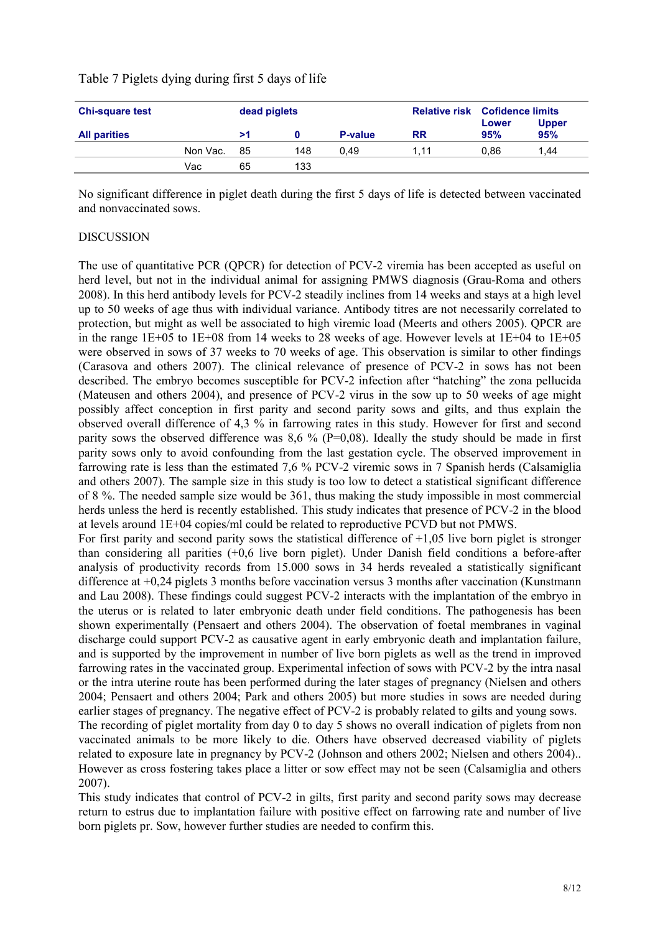# Table 7 Piglets dying during first 5 days of life

| <b>Chi-square test</b> |          | dead piglets |     |                |           | <b>Relative risk Cofidence limits</b> |                     |
|------------------------|----------|--------------|-----|----------------|-----------|---------------------------------------|---------------------|
| <b>All parities</b>    |          | >1           |     | <b>P-value</b> | <b>RR</b> | Lower<br>95%                          | <b>Upper</b><br>95% |
|                        | Non Vac. | - 85         | 148 | 0.49           | 1.11      | 0.86                                  | .44                 |
|                        | Vac      | 65           | 133 |                |           |                                       |                     |

No significant difference in piglet death during the first 5 days of life is detected between vaccinated and nonvaccinated sows.

## DISCUSSION

The use of quantitative PCR (QPCR) for detection of PCV-2 viremia has been accepted as useful on herd level, but not in the individual animal for assigning PMWS diagnosis (Grau-Roma and others 2008). In this herd antibody levels for PCV-2 steadily inclines from 14 weeks and stays at a high level up to 50 weeks of age thus with individual variance. Antibody titres are not necessarily correlated to protection, but might as well be associated to high viremic load (Meerts and others 2005). QPCR are in the range 1E+05 to 1E+08 from 14 weeks to 28 weeks of age. However levels at 1E+04 to 1E+05 were observed in sows of 37 weeks to 70 weeks of age. This observation is similar to other findings (Carasova and others 2007). The clinical relevance of presence of PCV-2 in sows has not been described. The embryo becomes susceptible for PCV-2 infection after "hatching" the zona pellucida (Mateusen and others 2004), and presence of PCV-2 virus in the sow up to 50 weeks of age might possibly affect conception in first parity and second parity sows and gilts, and thus explain the observed overall difference of 4,3 % in farrowing rates in this study. However for first and second parity sows the observed difference was 8.6 % ( $P=0.08$ ). Ideally the study should be made in first parity sows only to avoid confounding from the last gestation cycle. The observed improvement in farrowing rate is less than the estimated 7,6 % PCV-2 viremic sows in 7 Spanish herds (Calsamiglia and others 2007). The sample size in this study is too low to detect a statistical significant difference of 8 %. The needed sample size would be 361, thus making the study impossible in most commercial herds unless the herd is recently established. This study indicates that presence of PCV-2 in the blood at levels around 1E+04 copies/ml could be related to reproductive PCVD but not PMWS.

For first parity and second parity sows the statistical difference of  $+1,05$  live born piglet is stronger than considering all parities (+0,6 live born piglet). Under Danish field conditions a before-after analysis of productivity records from 15.000 sows in 34 herds revealed a statistically significant difference at +0,24 piglets 3 months before vaccination versus 3 months after vaccination (Kunstmann and Lau 2008). These findings could suggest PCV-2 interacts with the implantation of the embryo in the uterus or is related to later embryonic death under field conditions. The pathogenesis has been shown experimentally (Pensaert and others 2004). The observation of foetal membranes in vaginal discharge could support PCV-2 as causative agent in early embryonic death and implantation failure, and is supported by the improvement in number of live born piglets as well as the trend in improved farrowing rates in the vaccinated group. Experimental infection of sows with PCV-2 by the intra nasal or the intra uterine route has been performed during the later stages of pregnancy (Nielsen and others 2004; Pensaert and others 2004; Park and others 2005) but more studies in sows are needed during earlier stages of pregnancy. The negative effect of PCV-2 is probably related to gilts and young sows. The recording of piglet mortality from day 0 to day 5 shows no overall indication of piglets from non

vaccinated animals to be more likely to die. Others have observed decreased viability of piglets related to exposure late in pregnancy by PCV-2 (Johnson and others 2002; Nielsen and others 2004).. However as cross fostering takes place a litter or sow effect may not be seen (Calsamiglia and others 2007).

This study indicates that control of PCV-2 in gilts, first parity and second parity sows may decrease return to estrus due to implantation failure with positive effect on farrowing rate and number of live born piglets pr. Sow, however further studies are needed to confirm this.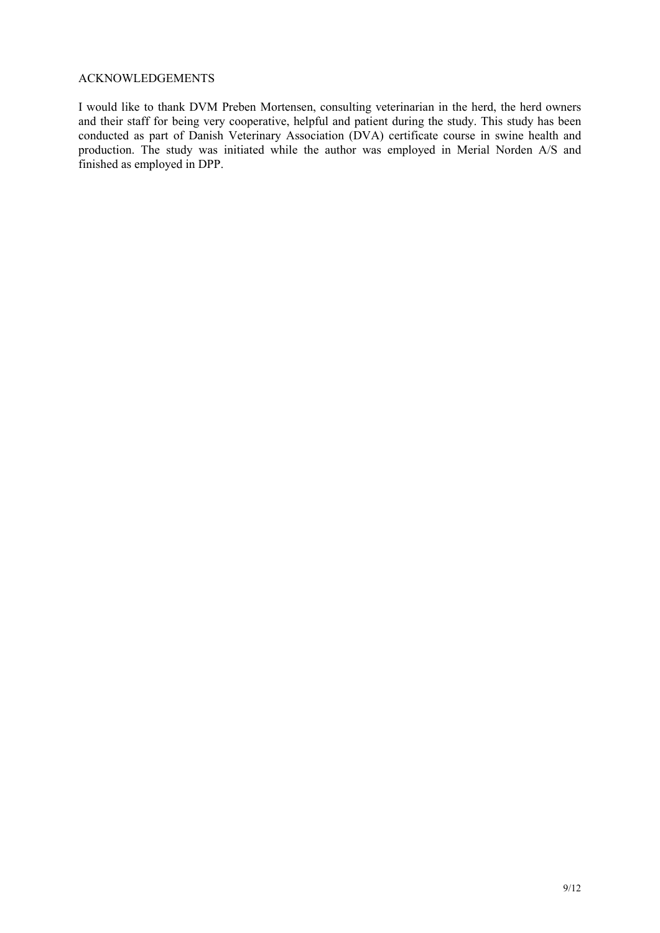### ACKNOWLEDGEMENTS

I would like to thank DVM Preben Mortensen, consulting veterinarian in the herd, the herd owners and their staff for being very cooperative, helpful and patient during the study. This study has been conducted as part of Danish Veterinary Association (DVA) certificate course in swine health and production. The study was initiated while the author was employed in Merial Norden A/S and finished as employed in DPP.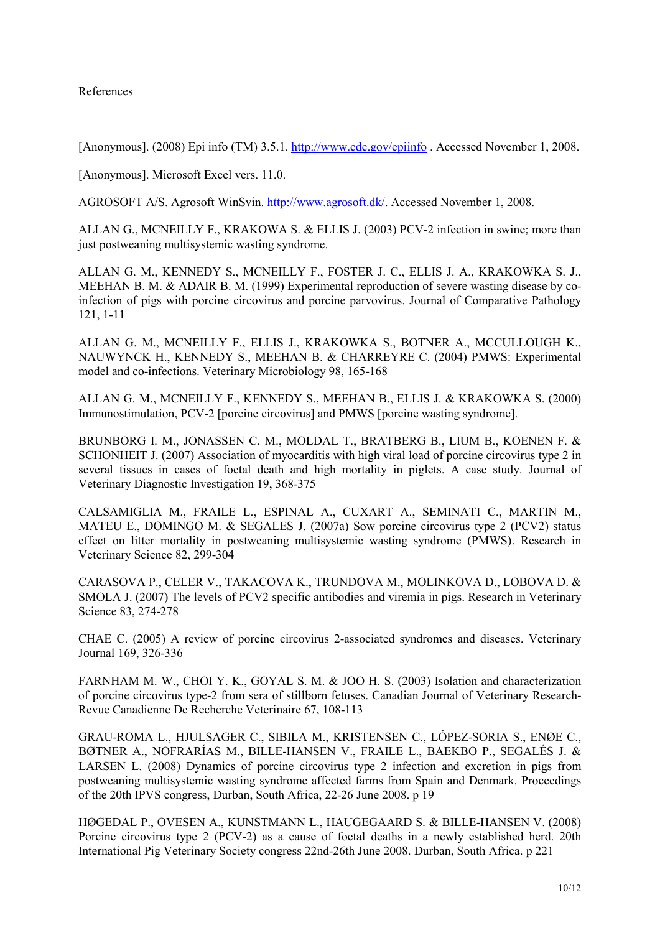## References

[Anonymous]. (2008) Epi info (TM) 3.5.1. http://www.cdc.gov/epiinfo. Accessed November 1, 2008.

[Anonymous]. Microsoft Excel vers. 11.0.

AGROSOFT A/S. Agrosoft WinSvin. http://www.agrosoft.dk/. Accessed November 1, 2008.

ALLAN G., MCNEILLY F., KRAKOWA S. & ELLIS J. (2003) PCV-2 infection in swine; more than just postweaning multisystemic wasting syndrome.

ALLAN G. M., KENNEDY S., MCNEILLY F., FOSTER J. C., ELLIS J. A., KRAKOWKA S. J., MEEHAN B. M. & ADAIR B. M. (1999) Experimental reproduction of severe wasting disease by coinfection of pigs with porcine circovirus and porcine parvovirus. Journal of Comparative Pathology 121, 1-11

ALLAN G. M., MCNEILLY F., ELLIS J., KRAKOWKA S., BOTNER A., MCCULLOUGH K., NAUWYNCK H., KENNEDY S., MEEHAN B. & CHARREYRE C. (2004) PMWS: Experimental model and co-infections. Veterinary Microbiology 98, 165-168

ALLAN G. M., MCNEILLY F., KENNEDY S., MEEHAN B., ELLIS J. & KRAKOWKA S. (2000) Immunostimulation, PCV-2 [porcine circovirus] and PMWS [porcine wasting syndrome].

BRUNBORG I. M., JONASSEN C. M., MOLDAL T., BRATBERG B., LIUM B., KOENEN F. & SCHONHEIT J. (2007) Association of myocarditis with high viral load of porcine circovirus type 2 in several tissues in cases of foetal death and high mortality in piglets. A case study. Journal of Veterinary Diagnostic Investigation 19, 368-375

CALSAMIGLIA M., FRAILE L., ESPINAL A., CUXART A., SEMINATI C., MARTIN M., MATEU E., DOMINGO M. & SEGALES J. (2007a) Sow porcine circovirus type 2 (PCV2) status effect on litter mortality in postweaning multisystemic wasting syndrome (PMWS). Research in Veterinary Science 82, 299-304

CARASOVA P., CELER V., TAKACOVA K., TRUNDOVA M., MOLINKOVA D., LOBOVA D. & SMOLA J. (2007) The levels of PCV2 specific antibodies and viremia in pigs. Research in Veterinary Science 83, 274-278

CHAE C. (2005) A review of porcine circovirus 2-associated syndromes and diseases. Veterinary Journal 169, 326-336

FARNHAM M. W., CHOI Y. K., GOYAL S. M. & JOO H. S. (2003) Isolation and characterization of porcine circovirus type-2 from sera of stillborn fetuses. Canadian Journal of Veterinary Research-Revue Canadienne De Recherche Veterinaire 67, 108-113

GRAU-ROMA L., HJULSAGER C., SIBILA M., KRISTENSEN C., LÓPEZ-SORIA S., ENØE C., BØTNER A., NOFRARÍAS M., BILLE-HANSEN V., FRAILE L., BAEKBO P., SEGALÉS J. & LARSEN L. (2008) Dynamics of porcine circovirus type 2 infection and excretion in pigs from postweaning multisystemic wasting syndrome affected farms from Spain and Denmark. Proceedings of the 20th IPVS congress, Durban, South Africa, 22-26 June 2008. p 19

HØGEDAL P., OVESEN A., KUNSTMANN L., HAUGEGAARD S. & BILLE-HANSEN V. (2008) Porcine circovirus type 2 (PCV-2) as a cause of foetal deaths in a newly established herd. 20th International Pig Veterinary Society congress 22nd-26th June 2008. Durban, South Africa. p 221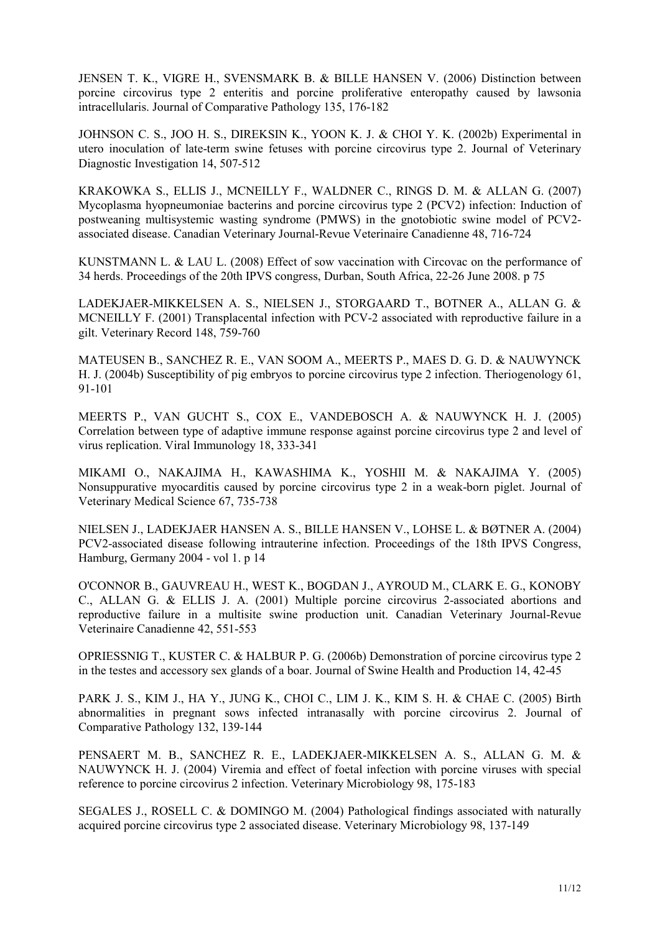JENSEN T. K., VIGRE H., SVENSMARK B. & BILLE HANSEN V. (2006) Distinction between porcine circovirus type 2 enteritis and porcine proliferative enteropathy caused by lawsonia intracellularis. Journal of Comparative Pathology 135, 176-182

JOHNSON C. S., JOO H. S., DIREKSIN K., YOON K. J. & CHOI Y. K. (2002b) Experimental in utero inoculation of late-term swine fetuses with porcine circovirus type 2. Journal of Veterinary Diagnostic Investigation 14, 507-512

KRAKOWKA S., ELLIS J., MCNEILLY F., WALDNER C., RINGS D. M. & ALLAN G. (2007) Mycoplasma hyopneumoniae bacterins and porcine circovirus type 2 (PCV2) infection: Induction of postweaning multisystemic wasting syndrome (PMWS) in the gnotobiotic swine model of PCV2 associated disease. Canadian Veterinary Journal-Revue Veterinaire Canadienne 48, 716-724

KUNSTMANN L. & LAU L. (2008) Effect of sow vaccination with Circovac on the performance of 34 herds. Proceedings of the 20th IPVS congress, Durban, South Africa, 22-26 June 2008. p 75

LADEKJAER-MIKKELSEN A. S., NIELSEN J., STORGAARD T., BOTNER A., ALLAN G. & MCNEILLY F. (2001) Transplacental infection with PCV-2 associated with reproductive failure in a gilt. Veterinary Record 148, 759-760

MATEUSEN B., SANCHEZ R. E., VAN SOOM A., MEERTS P., MAES D. G. D. & NAUWYNCK H. J. (2004b) Susceptibility of pig embryos to porcine circovirus type 2 infection. Theriogenology 61, 91-101

MEERTS P., VAN GUCHT S., COX E., VANDEBOSCH A. & NAUWYNCK H. J. (2005) Correlation between type of adaptive immune response against porcine circovirus type 2 and level of virus replication. Viral Immunology 18, 333-341

MIKAMI O., NAKAJIMA H., KAWASHIMA K., YOSHII M. & NAKAJIMA Y. (2005) Nonsuppurative myocarditis caused by porcine circovirus type 2 in a weak-born piglet. Journal of Veterinary Medical Science 67, 735-738

NIELSEN J., LADEKJAER HANSEN A. S., BILLE HANSEN V., LOHSE L. & BØTNER A. (2004) PCV2-associated disease following intrauterine infection. Proceedings of the 18th IPVS Congress, Hamburg, Germany 2004 - vol 1. p 14

O'CONNOR B., GAUVREAU H., WEST K., BOGDAN J., AYROUD M., CLARK E. G., KONOBY C., ALLAN G. & ELLIS J. A. (2001) Multiple porcine circovirus 2-associated abortions and reproductive failure in a multisite swine production unit. Canadian Veterinary Journal-Revue Veterinaire Canadienne 42, 551-553

OPRIESSNIG T., KUSTER C. & HALBUR P. G. (2006b) Demonstration of porcine circovirus type 2 in the testes and accessory sex glands of a boar. Journal of Swine Health and Production 14, 42-45

PARK J. S., KIM J., HA Y., JUNG K., CHOI C., LIM J. K., KIM S. H. & CHAE C. (2005) Birth abnormalities in pregnant sows infected intranasally with porcine circovirus 2. Journal of Comparative Pathology 132, 139-144

PENSAERT M. B., SANCHEZ R. E., LADEKJAER-MIKKELSEN A. S., ALLAN G. M. & NAUWYNCK H. J. (2004) Viremia and effect of foetal infection with porcine viruses with special reference to porcine circovirus 2 infection. Veterinary Microbiology 98, 175-183

SEGALES J., ROSELL C. & DOMINGO M. (2004) Pathological findings associated with naturally acquired porcine circovirus type 2 associated disease. Veterinary Microbiology 98, 137-149